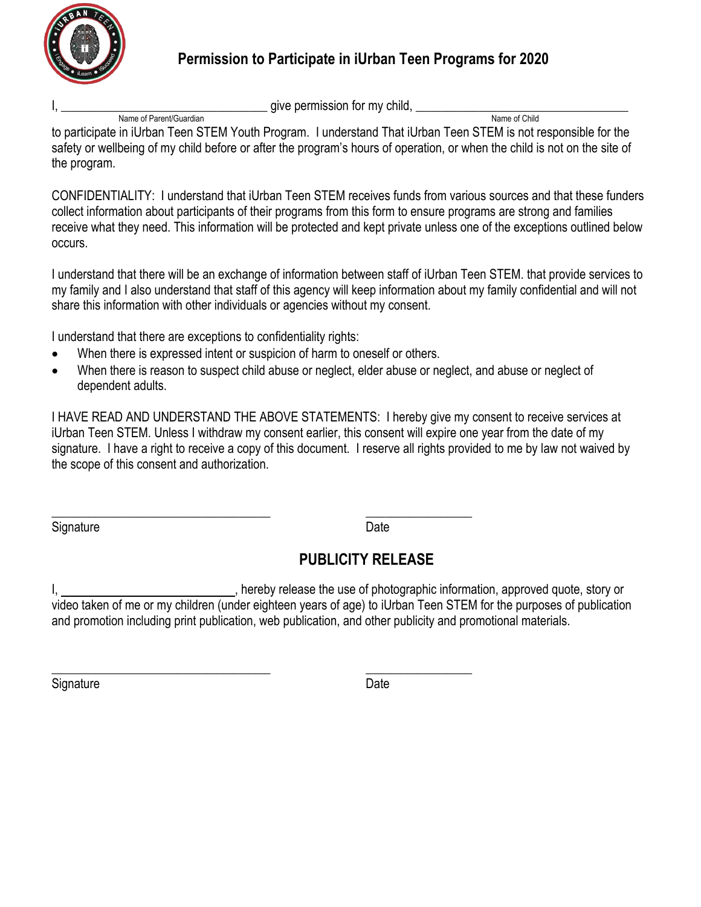

## **Permission to Participate in iUrban Teen Programs for 2020**

I, \_\_\_\_\_\_\_\_\_\_\_\_\_\_\_\_\_\_\_\_\_\_\_\_\_\_\_\_\_\_\_\_\_ give permission for my child, \_\_\_\_\_\_\_\_\_\_\_\_\_\_\_\_\_\_\_\_\_\_\_\_\_\_\_\_\_\_\_\_\_\_ Name of Parent/Guardian

to participate in iUrban Teen STEM Youth Program. I understand That iUrban Teen STEM is not responsible for the safety or wellbeing of my child before or after the program's hours of operation, or when the child is not on the site of the program.

CONFIDENTIALITY: I understand that iUrban Teen STEM receives funds from various sources and that these funders collect information about participants of their programs from this form to ensure programs are strong and families receive what they need. This information will be protected and kept private unless one of the exceptions outlined below occurs.

I understand that there will be an exchange of information between staff of iUrban Teen STEM. that provide services to my family and I also understand that staff of this agency will keep information about my family confidential and will not share this information with other individuals or agencies without my consent.

I understand that there are exceptions to confidentiality rights:

- When there is expressed intent or suspicion of harm to oneself or others.
- When there is reason to suspect child abuse or neglect, elder abuse or neglect, and abuse or neglect of dependent adults.

I HAVE READ AND UNDERSTAND THE ABOVE STATEMENTS: I hereby give my consent to receive services at iUrban Teen STEM. Unless I withdraw my consent earlier, this consent will expire one year from the date of my signature. I have a right to receive a copy of this document. I reserve all rights provided to me by law not waived by the scope of this consent and authorization.

Signature Date **Date** 

\_\_\_\_\_\_\_\_\_\_\_\_\_\_\_\_\_\_\_\_\_\_\_\_\_\_\_\_\_\_\_\_\_\_\_ \_\_\_\_\_\_\_\_\_\_\_\_\_\_\_\_\_

## **PUBLICITY RELEASE**

I, 1. All the use of photographic information, approved quote, story or video taken of me or my children (under eighteen years of age) to iUrban Teen STEM for the purposes of publication and promotion including print publication, web publication, and other publicity and promotional materials.

Signature Date **Date** 

\_\_\_\_\_\_\_\_\_\_\_\_\_\_\_\_\_\_\_\_\_\_\_\_\_\_\_\_\_\_\_\_\_\_\_ \_\_\_\_\_\_\_\_\_\_\_\_\_\_\_\_\_